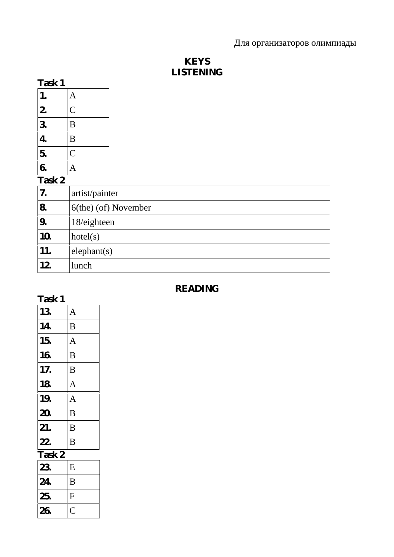### **KEYS LISTENING**

| Task 1 |                      |  |  |  |
|--------|----------------------|--|--|--|
| 1.     | $\mathbf{A}$         |  |  |  |
| 2.     | $\mathsf{C}$         |  |  |  |
| 3.     | B                    |  |  |  |
| 4.     | B                    |  |  |  |
| 5.     | $\mathbf C$          |  |  |  |
| 6.     | $\mathbf{A}$         |  |  |  |
| Task 2 |                      |  |  |  |
| 7.     | artist/painter       |  |  |  |
| 8.     | 6(the) (of) November |  |  |  |
| 9.     | 18/eighteen          |  |  |  |
| 10.    | hotel(s)             |  |  |  |
| 11.    | elephant(s)          |  |  |  |
| 12.    | lunch                |  |  |  |

## **READING**

| Task 1         |                                  |  |
|----------------|----------------------------------|--|
| 13.            | A                                |  |
| 14.            | B                                |  |
| 15.            | $\overline{A}$                   |  |
| 16.            | B                                |  |
| 17.            | B                                |  |
| 18.            | $\mathbf{A}$                     |  |
| 19.            | $\mathbf{A}$                     |  |
| 20.            | B                                |  |
| 21.            | B                                |  |
| 22.            | B                                |  |
| Task 2         |                                  |  |
| 23.            | ${\bf E}$                        |  |
| 24.            | B                                |  |
| 25.            | ${\bf F}$                        |  |
| $\frac{1}{26}$ | $\overline{\overline{\text{C}}}$ |  |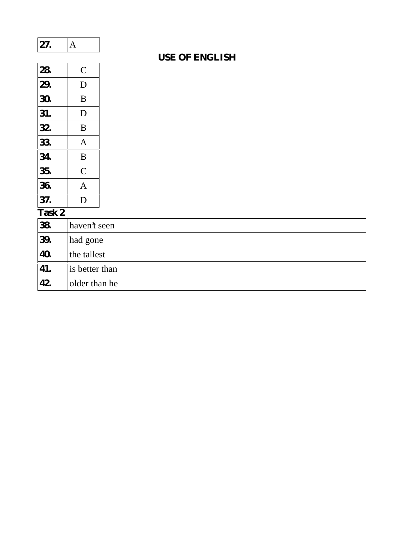| 27.    | $\mathbf{A}$   |                       |  |
|--------|----------------|-----------------------|--|
|        |                | <b>USE OF ENGLISH</b> |  |
| 28.    | $\mathsf{C}$   |                       |  |
| 29.    | $\mathbf D$    |                       |  |
| 30.    | B              |                       |  |
| 31.    | D              |                       |  |
| 32.    | $\bf{B}$       |                       |  |
| 33.    | $\mathbf{A}$   |                       |  |
| 34.    | $\bf{B}$       |                       |  |
| 35.    | $\mathbf C$    |                       |  |
| 36.    | $\mathbf{A}$   |                       |  |
| 37.    | $\mathbf D$    |                       |  |
| Task 2 |                |                       |  |
| 38.    | haven't seen   |                       |  |
| 39.    | had gone       |                       |  |
| 40.    | the tallest    |                       |  |
| 41.    | is better than |                       |  |
| 42.    | older than he  |                       |  |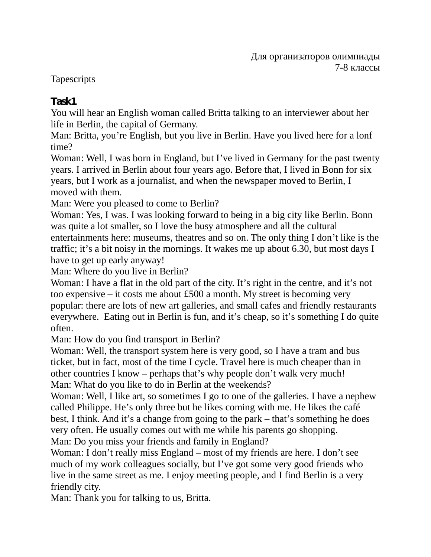#### Tapescripts

### **Task1**

You will hear an English woman called Britta talking to an interviewer about her life in Berlin, the capital of Germany.

Man: Britta, you're English, but you live in Berlin. Have you lived here for a lonf time?

Woman: Well, I was born in England, but I've lived in Germany for the past twenty years. I arrived in Berlin about four years ago. Before that, I lived in Bonn for six years, but I work as a journalist, and when the newspaper moved to Berlin, I moved with them.

Man: Were you pleased to come to Berlin?

Woman: Yes, I was. I was looking forward to being in a big city like Berlin. Bonn was quite a lot smaller, so I love the busy atmosphere and all the cultural entertainments here: museums, theatres and so on. The only thing I don't like is the traffic; it's a bit noisy in the mornings. It wakes me up about 6.30, but most days I have to get up early anyway!

Man: Where do you live in Berlin?

Woman: I have a flat in the old part of the city. It's right in the centre, and it's not too expensive – it costs me about £500 a month. My street is becoming very popular: there are lots of new art galleries, and small cafes and friendly restaurants everywhere. Eating out in Berlin is fun, and it's cheap, so it's something I do quite often.

Man: How do you find transport in Berlin?

Woman: Well, the transport system here is very good, so I have a tram and bus ticket, but in fact, most of the time I cycle. Travel here is much cheaper than in other countries I know – perhaps that's why people don't walk very much! Man: What do you like to do in Berlin at the weekends?

Woman: Well, I like art, so sometimes I go to one of the galleries. I have a nephew called Philippe. He's only three but he likes coming with me. He likes the café best, I think. And it's a change from going to the park – that's something he does very often. He usually comes out with me while his parents go shopping. Man: Do you miss your friends and family in England?

Woman: I don't really miss England – most of my friends are here. I don't see much of my work colleagues socially, but I've got some very good friends who live in the same street as me. I enjoy meeting people, and I find Berlin is a very friendly city.

Man: Thank you for talking to us, Britta.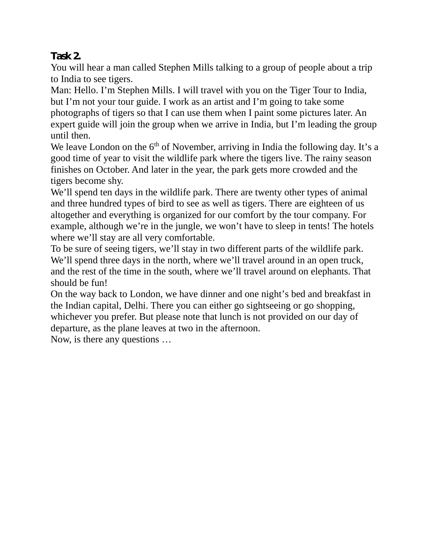### **Task 2.**

You will hear a man called Stephen Mills talking to a group of people about a trip to India to see tigers.

Man: Hello. I'm Stephen Mills. I will travel with you on the Tiger Tour to India, but I'm not your tour guide. I work as an artist and I'm going to take some photographs of tigers so that I can use them when I paint some pictures later. An expert guide will join the group when we arrive in India, but I'm leading the group until then.

We leave London on the  $6<sup>th</sup>$  of November, arriving in India the following day. It's a good time of year to visit the wildlife park where the tigers live. The rainy season finishes on October. And later in the year, the park gets more crowded and the tigers become shy.

We'll spend ten days in the wildlife park. There are twenty other types of animal and three hundred types of bird to see as well as tigers. There are eighteen of us altogether and everything is organized for our comfort by the tour company. For example, although we're in the jungle, we won't have to sleep in tents! The hotels where we'll stay are all very comfortable.

To be sure of seeing tigers, we'll stay in two different parts of the wildlife park. We'll spend three days in the north, where we'll travel around in an open truck, and the rest of the time in the south, where we'll travel around on elephants. That should be fun!

On the way back to London, we have dinner and one night's bed and breakfast in the Indian capital, Delhi. There you can either go sightseeing or go shopping, whichever you prefer. But please note that lunch is not provided on our day of departure, as the plane leaves at two in the afternoon.

Now, is there any questions …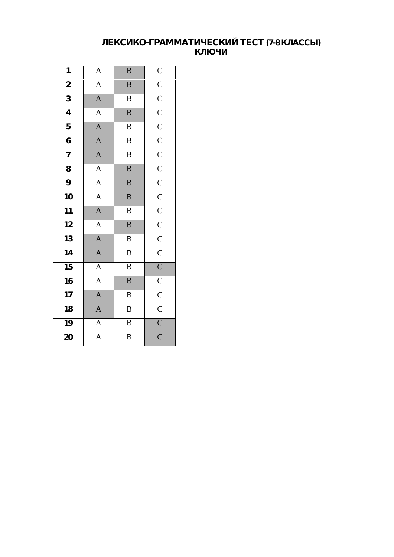| $\mathbf{1}$            | $\overline{B}$ | $\mathcal{C}$                                                              |
|-------------------------|----------------|----------------------------------------------------------------------------|
| $\overline{\mathbf{c}}$ | $\, {\bf B}$   | $\overline{C}$                                                             |
| $\overline{\mathbf{3}}$ | $\bf{B}$       |                                                                            |
| $\overline{\mathbf{4}}$ | $\overline{B}$ | $\overline{C}$<br>$\overline{C}$                                           |
| $\overline{\mathbf{5}}$ | $\bf{B}$       |                                                                            |
| $\overline{\bf{6}}$     | $\overline{B}$ | $\overline{C}$                                                             |
| $\overline{7}$          | $\overline{B}$ | $\frac{\overline{C}}{\overline{C}}$                                        |
| 8                       | $\overline{B}$ |                                                                            |
| 9                       | $\bf{B}$       | $\overline{\overline{C}}$                                                  |
| 10                      | $\bf{B}$       | $\overline{\mathrm{C}}$                                                    |
| 11                      | $\, {\bf B}$   |                                                                            |
| 12                      | $\overline{B}$ | $\overline{C}$ $\overline{C}$ $\overline{C}$ $\overline{C}$ $\overline{C}$ |
| 13                      | $\bf{B}$       |                                                                            |
| $\overline{14}$         | $\overline{B}$ |                                                                            |
| $\overline{15}$         | $\overline{B}$ |                                                                            |
| 16                      | $\overline{B}$ | $\overline{\overline{C}}$                                                  |
| 17                      | $\bf{B}$       | $\overline{\overline{C}}$                                                  |
| 18                      | $\bf{B}$       | $\overline{C}$                                                             |
| 19                      | $\bf{B}$       | $\overline{C}$                                                             |
| 20                      | B              | $\overline{\text{C}}$                                                      |

 $\blacksquare$ 

 $(7-8)$ 

 $\overline{\phantom{a}}$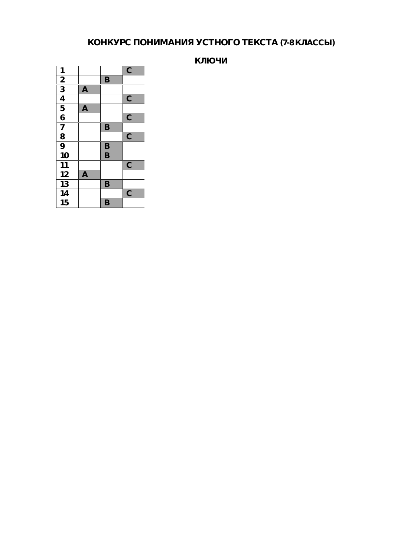| $\mathbf{1}$            |              |          |                |
|-------------------------|--------------|----------|----------------|
| $\frac{2}{3}$           |              | $\bf{B}$ |                |
|                         | $\mathbf A$  |          |                |
|                         |              |          | $\mathbf C$    |
| $\overline{\mathbf{5}}$ | $\mathbf{A}$ |          |                |
| $\overline{\mathbf{6}}$ |              |          | $\mathbf C$    |
| $\overline{7}$          |              | B        |                |
| $\overline{\bf 8}$      |              |          | $\mathbf C$    |
| $\overline{9}$          |              | $\bf{B}$ |                |
| 10                      |              | B        |                |
| 11                      |              |          | $\mathbf C$    |
| 12                      | $\mathbf A$  |          |                |
| 13                      |              | B        |                |
| 14                      |              |          | $\overline{C}$ |
| 15                      |              | B        |                |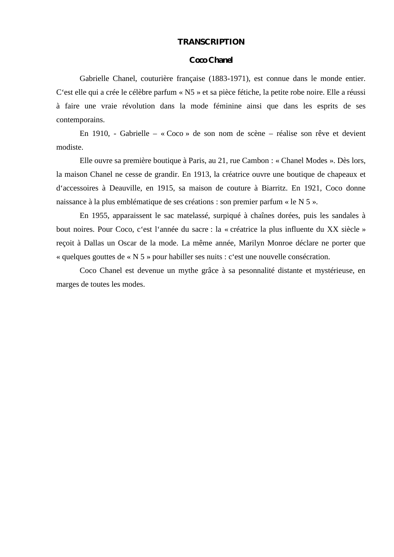#### **TRANSCRIPTION**

#### **Coco Chanel**

Gabrielle Chanel, couturière française (1883-1971), est connue dans le monde entier. C`est elle qui a crée le célèbre parfum « N5 » et sa pièce fétiche, la petite robe noire. Elle a réussi à faire une vraie révolution dans la mode féminine ainsi que dans les esprits de ses contemporains.

En 1910, - Gabrielle – « Coco » de son nom de scène – réalise son rêve et devient modiste.

Elle ouvre sa première boutique à Paris, au 21, rue Cambon : « Chanel Modes ». Dès lors, la maison Chanel ne cesse de grandir. En 1913, la créatrice ouvre une boutique de chapeaux et d`accessoires à Deauville, en 1915, sa maison de couture à Biarritz. En 1921, Coco donne naissance à la plus emblématique de ses créations : son premier parfum « le N 5 ».

En 1955, apparaissent le sac matelassé, surpiqué à chaînes dorées, puis les sandales à bout noires. Pour Coco, c'est l'année du sacre : la « créatrice la plus influente du XX siècle » reçoit à Dallas un Oscar de la mode. La même année, Marilyn Monroe déclare ne porter que « quelques gouttes de «  $N$  5 » pour habiller ses nuits : c'est une nouvelle consécration.

Coco Chanel est devenue un mythe grâce à sa pesonnalité distante et mystérieuse, en marges de toutes les modes.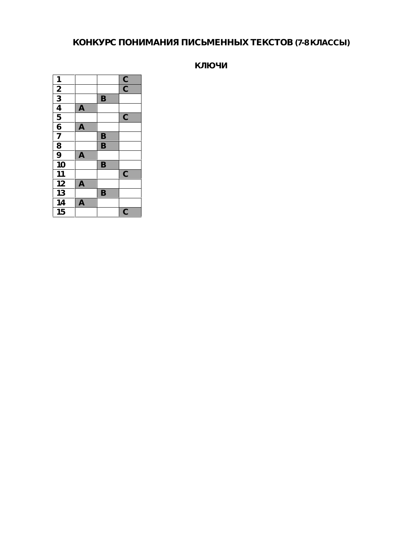|                                                                                                   |              |          | $\frac{\overline{C}}{C}$ |
|---------------------------------------------------------------------------------------------------|--------------|----------|--------------------------|
|                                                                                                   |              |          |                          |
|                                                                                                   |              | B        |                          |
|                                                                                                   | $\mathbf{A}$ |          |                          |
| $\frac{1}{2}$ $\frac{3}{4}$ $\frac{4}{5}$ $\frac{6}{6}$ $\frac{7}{7}$ $\frac{8}{8}$ $\frac{9}{9}$ |              |          | $\overline{\mathbf{C}}$  |
|                                                                                                   | $\mathbf A$  |          |                          |
|                                                                                                   |              | $\bf{B}$ |                          |
|                                                                                                   |              | B        |                          |
|                                                                                                   | $\mathbf A$  |          |                          |
| 10                                                                                                |              | B        |                          |
| 11                                                                                                |              |          | $\overline{C}$           |
| 12                                                                                                | $\mathbf{A}$ |          |                          |
| 13                                                                                                |              | B        |                          |
| 14                                                                                                | $\mathbf A$  |          |                          |
| 15                                                                                                |              |          | Ċ                        |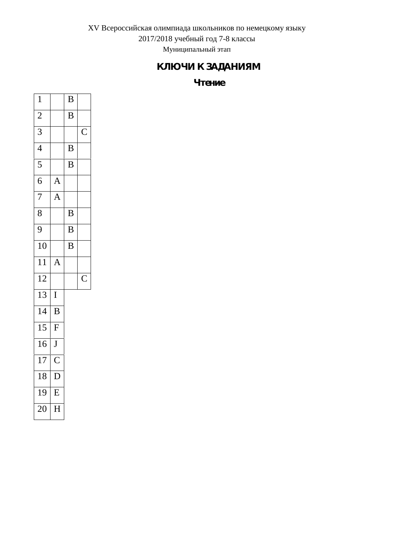| $\mathbf{1}$    |                                    | B                       |                |
|-----------------|------------------------------------|-------------------------|----------------|
| $\overline{2}$  |                                    | $\overline{\mathbf{B}}$ |                |
| $\overline{3}$  |                                    |                         | $\overline{C}$ |
| $\frac{4}{5}$   |                                    | B                       |                |
|                 |                                    | $\overline{B}$          |                |
| $\overline{6}$  | A                                  |                         |                |
| $\overline{7}$  |                                    |                         |                |
| $\overline{8}$  |                                    | B                       |                |
| $\overline{9}$  |                                    | $\overline{B}$          |                |
| $\overline{10}$ |                                    | $\overline{B}$          |                |
| $\overline{11}$ |                                    |                         |                |
|                 | A                                  |                         |                |
| $\overline{12}$ |                                    |                         | C              |
| 13              | $\overline{I}$                     |                         |                |
| $\overline{14}$ | $\overline{B}$                     |                         |                |
| $\overline{15}$ | $\overline{\overline{\mathrm{F}}}$ |                         |                |
| $\overline{16}$ | $\overline{\mathsf{J}}$            |                         |                |
| $\overline{17}$ | $\overline{\overline{C}}$          |                         |                |
| 18              | $\overline{\mathsf{D}}$            |                         |                |
| 19              | $\overline{E}$                     |                         |                |
| $\overline{20}$ | $\overline{\text{H}}$              |                         |                |

XV

2017/2018

 $7 - 8$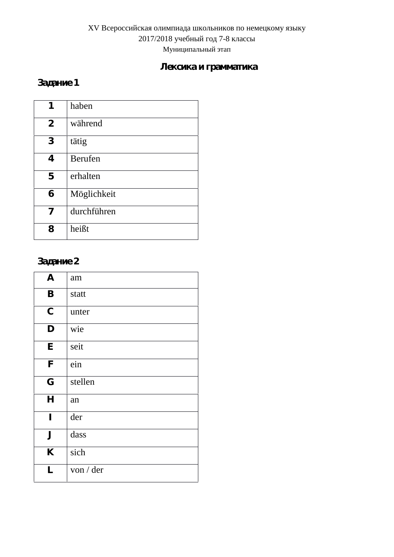$7 - 8$ 

 $\mathbf{1}$ 

| $\mathbf{1}$   | haben          |
|----------------|----------------|
| $\overline{2}$ | während        |
| 3              | tätig          |
| 4              | <b>Berufen</b> |
| 5              | erhalten       |
| 6              | Möglichkeit    |
| 7              | durchführen    |
| 8              | heißt          |

# $\overline{\mathbf{c}}$

| $\mathbf A$<br>am<br>B<br>statt<br>$\mathbf C$<br>unter<br>wie<br>D<br>E<br>seit<br>$\mathbf F$<br>ein<br>G<br>stellen |
|------------------------------------------------------------------------------------------------------------------------|
|                                                                                                                        |
|                                                                                                                        |
|                                                                                                                        |
|                                                                                                                        |
|                                                                                                                        |
|                                                                                                                        |
|                                                                                                                        |
| H<br>an                                                                                                                |
| der<br>I                                                                                                               |
| ${\bf J}$<br>dass                                                                                                      |
| sich<br>$\mathbf K$                                                                                                    |
| von / der<br>L                                                                                                         |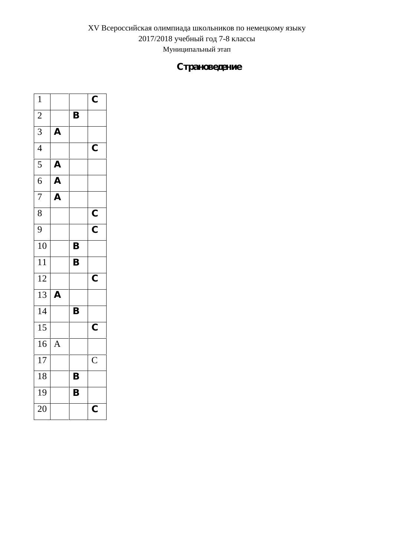XV

2017/2018  $7 - 8$ 

 $\mathbf C$ 

| $\mathbf{1}$    |                         |                         | $\overline{\mathbf{C}}$                    |
|-----------------|-------------------------|-------------------------|--------------------------------------------|
| $\overline{2}$  |                         | B                       |                                            |
| $\overline{3}$  | $\mathbf{A}$            |                         |                                            |
| $\overline{4}$  |                         |                         | $\overline{\mathbf{C}}$                    |
| $\overline{5}$  | ${\bf A}$               |                         |                                            |
| $\overline{6}$  | $\overline{\mathbf{A}}$ |                         |                                            |
| $\overline{7}$  | $\overline{\mathbf{A}}$ |                         |                                            |
| $\overline{8}$  |                         |                         | $\frac{\overline{\mathbf{C}}}{\mathbf{C}}$ |
| $\overline{9}$  |                         |                         |                                            |
| $\overline{10}$ |                         | $\bf{B}$                |                                            |
| $\overline{11}$ |                         | $\bf{B}$                |                                            |
| $\overline{12}$ |                         |                         | $\overline{\mathbf{C}}$                    |
| $\overline{13}$ | $\overline{\mathbf{A}}$ |                         |                                            |
| $\overline{14}$ |                         | B                       |                                            |
| $\overline{15}$ |                         |                         | $\overline{C}$                             |
| $\overline{16}$ | $\overline{A}$          |                         |                                            |
| $\overline{17}$ |                         |                         | $\overline{C}$                             |
| $\overline{18}$ |                         | $\bf{B}$                |                                            |
| $\overline{19}$ |                         | $\overline{\mathbf{B}}$ |                                            |
| $\overline{20}$ |                         |                         |                                            |